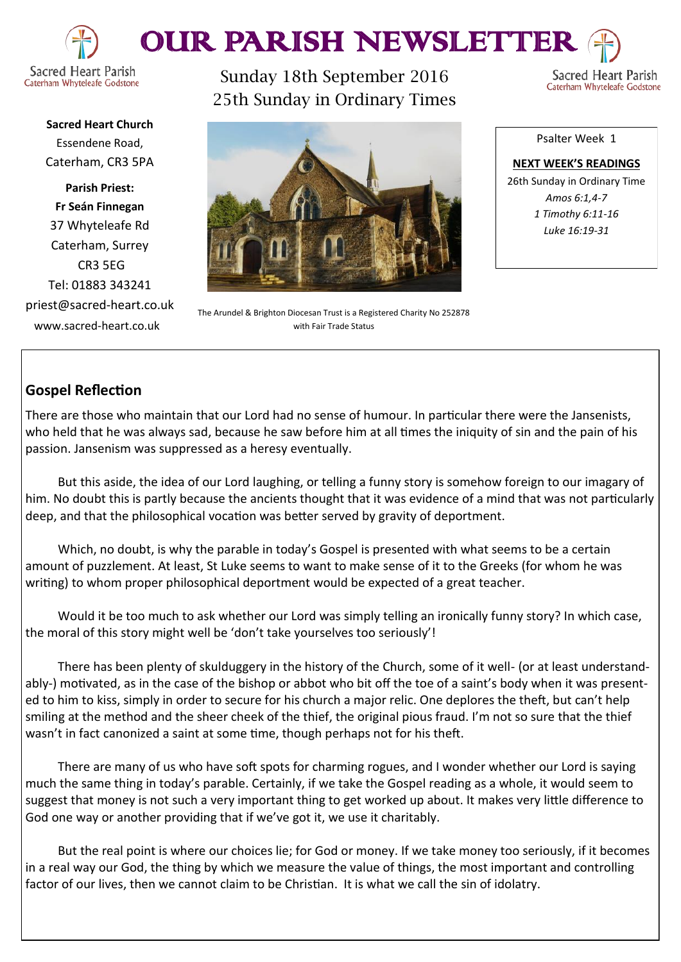



Sunday 18th September 2016 25th Sunday in Ordinary Times

Sacred Heart Parish Caterham Whyteleafe Godstone

**Sacred Heart Church** Essendene Road, Caterham, CR3 5PA

**Parish Priest: Fr Seán Finnegan** 37 Whyteleafe Rd Caterham, Surrey CR3 5EG Tel: 01883 343241 priest@sacred-heart.co.uk www.sacred-heart.co.uk



The Arundel & Brighton Diocesan Trust is a Registered Charity No 252878 with Fair Trade Status

Psalter Week 1

**NEXT WEEK'S READINGS** 26th Sunday in Ordinary Time *Amos 6:1,4-7 1 Timothy 6:11-16 Luke 16:19-31*

# **Gospel Reflection**

There are those who maintain that our Lord had no sense of humour. In particular there were the Jansenists, who held that he was always sad, because he saw before him at all times the iniquity of sin and the pain of his passion. Jansenism was suppressed as a heresy eventually.

But this aside, the idea of our Lord laughing, or telling a funny story is somehow foreign to our imagary of him. No doubt this is partly because the ancients thought that it was evidence of a mind that was not particularly deep, and that the philosophical vocation was better served by gravity of deportment.

Which, no doubt, is why the parable in today's Gospel is presented with what seems to be a certain amount of puzzlement. At least, St Luke seems to want to make sense of it to the Greeks (for whom he was writing) to whom proper philosophical deportment would be expected of a great teacher.

Would it be too much to ask whether our Lord was simply telling an ironically funny story? In which case, the moral of this story might well be 'don't take yourselves too seriously'!

There has been plenty of skulduggery in the history of the Church, some of it well- (or at least understandably-) motivated, as in the case of the bishop or abbot who bit off the toe of a saint's body when it was presented to him to kiss, simply in order to secure for his church a major relic. One deplores the theft, but can't help smiling at the method and the sheer cheek of the thief, the original pious fraud. I'm not so sure that the thief wasn't in fact canonized a saint at some time, though perhaps not for his theft.

There are many of us who have soft spots for charming rogues, and I wonder whether our Lord is saying much the same thing in today's parable. Certainly, if we take the Gospel reading as a whole, it would seem to suggest that money is not such a very important thing to get worked up about. It makes very little difference to God one way or another providing that if we've got it, we use it charitably.

But the real point is where our choices lie; for God or money. If we take money too seriously, if it becomes in a real way our God, the thing by which we measure the value of things, the most important and controlling factor of our lives, then we cannot claim to be Christian. It is what we call the sin of idolatry.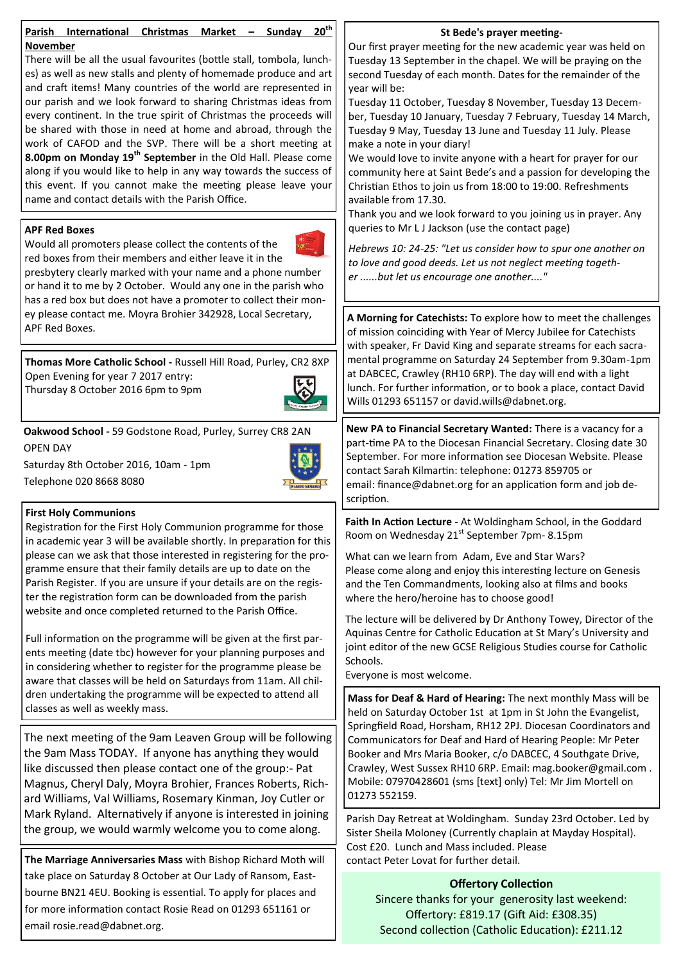| to love and good deeds. Let us not neglect meeting togeth-<br>presbytery clearly marked with your name and a phone number<br>er but let us encourage one another"<br>or hand it to me by 2 October. Would any one in the parish who<br>has a red box but does not have a promoter to collect their mon-<br>ey please contact me. Moyra Brohier 342928, Local Secretary,<br>A Morning for Catechists: To explore how to meet the challenges<br>APF Red Boxes.<br>of mission coinciding with Year of Mercy Jubilee for Catechists<br>with speaker, Fr David King and separate streams for each sacra-<br>mental programme on Saturday 24 September from 9.30am-1pm<br>Thomas More Catholic School - Russell Hill Road, Purley, CR2 8XP<br>at DABCEC, Crawley (RH10 6RP). The day will end with a light<br>Open Evening for year 7 2017 entry:<br>lunch. For further information, or to book a place, contact David<br>Thursday 8 October 2016 6pm to 9pm<br>Wills 01293 651157 or david.wills@dabnet.org.<br>New PA to Financial Secretary Wanted: There is a vacancy for a<br>Oakwood School - 59 Godstone Road, Purley, Surrey CR8 2AN<br>part-time PA to the Diocesan Financial Secretary. Closing date 30<br><b>OPEN DAY</b><br>September. For more information see Diocesan Website. Please<br>Saturday 8th October 2016, 10am - 1pm<br>contact Sarah Kilmartin: telephone: 01273 859705 or<br>Telephone 020 8668 8080<br>email: finance@dabnet.org for an application form and job de-<br>scription.<br><b>First Holy Communions</b><br>Faith In Action Lecture - At Woldingham School, in the Goddard<br>Registration for the First Holy Communion programme for those<br>Room on Wednesday 21 <sup>st</sup> September 7pm-8.15pm<br>in academic year 3 will be available shortly. In preparation for this<br>please can we ask that those interested in registering for the pro-<br>What can we learn from Adam, Eve and Star Wars?<br>gramme ensure that their family details are up to date on the<br>Please come along and enjoy this interesting lecture on Genesis<br>Parish Register. If you are unsure if your details are on the regis-<br>and the Ten Commandments, looking also at films and books<br>ter the registration form can be downloaded from the parish<br>where the hero/heroine has to choose good!<br>website and once completed returned to the Parish Office.<br>The lecture will be delivered by Dr Anthony Towey, Director of the<br>Aquinas Centre for Catholic Education at St Mary's University and<br>Full information on the programme will be given at the first par-<br>joint editor of the new GCSE Religious Studies course for Catholic<br>ents meeting (date tbc) however for your planning purposes and<br>Schools.<br>in considering whether to register for the programme please be<br>Everyone is most welcome.<br>aware that classes will be held on Saturdays from 11am. All chil-<br>dren undertaking the programme will be expected to attend all<br>Mass for Deaf & Hard of Hearing: The next monthly Mass will be<br>classes as well as weekly mass.<br>held on Saturday October 1st at 1pm in St John the Evangelist,<br>Springfield Road, Horsham, RH12 2PJ. Diocesan Coordinators and<br>The next meeting of the 9am Leaven Group will be following<br>Communicators for Deaf and Hard of Hearing People: Mr Peter<br>the 9am Mass TODAY. If anyone has anything they would<br>Booker and Mrs Maria Booker, c/o DABCEC, 4 Southgate Drive,<br>like discussed then please contact one of the group:- Pat<br>Crawley, West Sussex RH10 6RP. Email: mag.booker@gmail.com.<br>Mobile: 07970428601 (sms [text] only) Tel: Mr Jim Mortell on<br>Magnus, Cheryl Daly, Moyra Brohier, Frances Roberts, Rich-<br>01273 552159.<br>ard Williams, Val Williams, Rosemary Kinman, Joy Cutler or<br>Mark Ryland. Alternatively if anyone is interested in joining<br>Parish Day Retreat at Woldingham. Sunday 23rd October. Led by<br>the group, we would warmly welcome you to come along.<br>Sister Sheila Moloney (Currently chaplain at Mayday Hospital).<br>Cost £20. Lunch and Mass included. Please<br>The Marriage Anniversaries Mass with Bishop Richard Moth will<br>contact Peter Lovat for further detail.<br>take place on Saturday 8 October at Our Lady of Ransom, East-<br><b>Offertory Collection</b><br>bourne BN21 4EU. Booking is essential. To apply for places and<br>Sincere thanks for your generosity last weekend:<br>for more information contact Rosie Read on 01293 651161 or<br>Offertory: £819.17 (Gift Aid: £308.35)<br>email rosie.read@dabnet.org.<br>Second collection (Catholic Education): £211.12 | Parish International Christmas Market - Sunday<br><b>November</b><br>There will be all the usual favourites (bottle stall, tombola, lunch-<br>es) as well as new stalls and plenty of homemade produce and art<br>and craft items! Many countries of the world are represented in<br>our parish and we look forward to sharing Christmas ideas from<br>every continent. In the true spirit of Christmas the proceeds will<br>be shared with those in need at home and abroad, through the<br>work of CAFOD and the SVP. There will be a short meeting at<br>8.00pm on Monday 19 <sup>th</sup> September in the Old Hall. Please come<br>along if you would like to help in any way towards the success of<br>this event. If you cannot make the meeting please leave your<br>name and contact details with the Parish Office.<br><b>APF Red Boxes</b><br>Would all promoters please collect the contents of the<br>$\mathscr{C}_{-}$ | 20 <sup>th</sup><br>St Bede's prayer meeting-<br>Our first prayer meeting for the new academic year was held on<br>Tuesday 13 September in the chapel. We will be praying on the<br>second Tuesday of each month. Dates for the remainder of the<br>year will be:<br>Tuesday 11 October, Tuesday 8 November, Tuesday 13 Decem-<br>ber, Tuesday 10 January, Tuesday 7 February, Tuesday 14 March,<br>Tuesday 9 May, Tuesday 13 June and Tuesday 11 July. Please<br>make a note in your diary!<br>We would love to invite anyone with a heart for prayer for our<br>community here at Saint Bede's and a passion for developing the<br>Christian Ethos to join us from 18:00 to 19:00. Refreshments<br>available from 17.30.<br>Thank you and we look forward to you joining us in prayer. Any<br>queries to Mr L J Jackson (use the contact page)<br>Hebrews 10: 24-25: "Let us consider how to spur one another on |
|-------------------------------------------------------------------------------------------------------------------------------------------------------------------------------------------------------------------------------------------------------------------------------------------------------------------------------------------------------------------------------------------------------------------------------------------------------------------------------------------------------------------------------------------------------------------------------------------------------------------------------------------------------------------------------------------------------------------------------------------------------------------------------------------------------------------------------------------------------------------------------------------------------------------------------------------------------------------------------------------------------------------------------------------------------------------------------------------------------------------------------------------------------------------------------------------------------------------------------------------------------------------------------------------------------------------------------------------------------------------------------------------------------------------------------------------------------------------------------------------------------------------------------------------------------------------------------------------------------------------------------------------------------------------------------------------------------------------------------------------------------------------------------------------------------------------------------------------------------------------------------------------------------------------------------------------------------------------------------------------------------------------------------------------------------------------------------------------------------------------------------------------------------------------------------------------------------------------------------------------------------------------------------------------------------------------------------------------------------------------------------------------------------------------------------------------------------------------------------------------------------------------------------------------------------------------------------------------------------------------------------------------------------------------------------------------------------------------------------------------------------------------------------------------------------------------------------------------------------------------------------------------------------------------------------------------------------------------------------------------------------------------------------------------------------------------------------------------------------------------------------------------------------------------------------------------------------------------------------------------------------------------------------------------------------------------------------------------------------------------------------------------------------------------------------------------------------------------------------------------------------------------------------------------------------------------------------------------------------------------------------------------------------------------------------------------------------------------------------------------------------------------------------------------------------------------------------------------------------------------------------------------------------------------------------------------------------------------------------------------------------------------------------------------------------------------------------------------------------------------------------------------------------------------------------------------------------------------------------------------------------------------------------------------------------------------------------------------------------------------------------------------------------------------------------------------------------------------------------------------------------------------------------------------------------------------------------------------------------------------------------------------------------------------------------------|--------------------------------------------------------------------------------------------------------------------------------------------------------------------------------------------------------------------------------------------------------------------------------------------------------------------------------------------------------------------------------------------------------------------------------------------------------------------------------------------------------------------------------------------------------------------------------------------------------------------------------------------------------------------------------------------------------------------------------------------------------------------------------------------------------------------------------------------------------------------------------------------------------------------------------------|--------------------------------------------------------------------------------------------------------------------------------------------------------------------------------------------------------------------------------------------------------------------------------------------------------------------------------------------------------------------------------------------------------------------------------------------------------------------------------------------------------------------------------------------------------------------------------------------------------------------------------------------------------------------------------------------------------------------------------------------------------------------------------------------------------------------------------------------------------------------------------------------------------------------|
|                                                                                                                                                                                                                                                                                                                                                                                                                                                                                                                                                                                                                                                                                                                                                                                                                                                                                                                                                                                                                                                                                                                                                                                                                                                                                                                                                                                                                                                                                                                                                                                                                                                                                                                                                                                                                                                                                                                                                                                                                                                                                                                                                                                                                                                                                                                                                                                                                                                                                                                                                                                                                                                                                                                                                                                                                                                                                                                                                                                                                                                                                                                                                                                                                                                                                                                                                                                                                                                                                                                                                                                                                                                                                                                                                                                                                                                                                                                                                                                                                                                                                                                                                                                                                                                                                                                                                                                                                                                                                                                                                                                                                                                                                     | red boxes from their members and either leave it in the                                                                                                                                                                                                                                                                                                                                                                                                                                                                                                                                                                                                                                                                                                                                                                                                                                                                              |                                                                                                                                                                                                                                                                                                                                                                                                                                                                                                                                                                                                                                                                                                                                                                                                                                                                                                                    |
|                                                                                                                                                                                                                                                                                                                                                                                                                                                                                                                                                                                                                                                                                                                                                                                                                                                                                                                                                                                                                                                                                                                                                                                                                                                                                                                                                                                                                                                                                                                                                                                                                                                                                                                                                                                                                                                                                                                                                                                                                                                                                                                                                                                                                                                                                                                                                                                                                                                                                                                                                                                                                                                                                                                                                                                                                                                                                                                                                                                                                                                                                                                                                                                                                                                                                                                                                                                                                                                                                                                                                                                                                                                                                                                                                                                                                                                                                                                                                                                                                                                                                                                                                                                                                                                                                                                                                                                                                                                                                                                                                                                                                                                                                     |                                                                                                                                                                                                                                                                                                                                                                                                                                                                                                                                                                                                                                                                                                                                                                                                                                                                                                                                      |                                                                                                                                                                                                                                                                                                                                                                                                                                                                                                                                                                                                                                                                                                                                                                                                                                                                                                                    |
|                                                                                                                                                                                                                                                                                                                                                                                                                                                                                                                                                                                                                                                                                                                                                                                                                                                                                                                                                                                                                                                                                                                                                                                                                                                                                                                                                                                                                                                                                                                                                                                                                                                                                                                                                                                                                                                                                                                                                                                                                                                                                                                                                                                                                                                                                                                                                                                                                                                                                                                                                                                                                                                                                                                                                                                                                                                                                                                                                                                                                                                                                                                                                                                                                                                                                                                                                                                                                                                                                                                                                                                                                                                                                                                                                                                                                                                                                                                                                                                                                                                                                                                                                                                                                                                                                                                                                                                                                                                                                                                                                                                                                                                                                     |                                                                                                                                                                                                                                                                                                                                                                                                                                                                                                                                                                                                                                                                                                                                                                                                                                                                                                                                      |                                                                                                                                                                                                                                                                                                                                                                                                                                                                                                                                                                                                                                                                                                                                                                                                                                                                                                                    |
|                                                                                                                                                                                                                                                                                                                                                                                                                                                                                                                                                                                                                                                                                                                                                                                                                                                                                                                                                                                                                                                                                                                                                                                                                                                                                                                                                                                                                                                                                                                                                                                                                                                                                                                                                                                                                                                                                                                                                                                                                                                                                                                                                                                                                                                                                                                                                                                                                                                                                                                                                                                                                                                                                                                                                                                                                                                                                                                                                                                                                                                                                                                                                                                                                                                                                                                                                                                                                                                                                                                                                                                                                                                                                                                                                                                                                                                                                                                                                                                                                                                                                                                                                                                                                                                                                                                                                                                                                                                                                                                                                                                                                                                                                     |                                                                                                                                                                                                                                                                                                                                                                                                                                                                                                                                                                                                                                                                                                                                                                                                                                                                                                                                      |                                                                                                                                                                                                                                                                                                                                                                                                                                                                                                                                                                                                                                                                                                                                                                                                                                                                                                                    |
|                                                                                                                                                                                                                                                                                                                                                                                                                                                                                                                                                                                                                                                                                                                                                                                                                                                                                                                                                                                                                                                                                                                                                                                                                                                                                                                                                                                                                                                                                                                                                                                                                                                                                                                                                                                                                                                                                                                                                                                                                                                                                                                                                                                                                                                                                                                                                                                                                                                                                                                                                                                                                                                                                                                                                                                                                                                                                                                                                                                                                                                                                                                                                                                                                                                                                                                                                                                                                                                                                                                                                                                                                                                                                                                                                                                                                                                                                                                                                                                                                                                                                                                                                                                                                                                                                                                                                                                                                                                                                                                                                                                                                                                                                     |                                                                                                                                                                                                                                                                                                                                                                                                                                                                                                                                                                                                                                                                                                                                                                                                                                                                                                                                      |                                                                                                                                                                                                                                                                                                                                                                                                                                                                                                                                                                                                                                                                                                                                                                                                                                                                                                                    |
|                                                                                                                                                                                                                                                                                                                                                                                                                                                                                                                                                                                                                                                                                                                                                                                                                                                                                                                                                                                                                                                                                                                                                                                                                                                                                                                                                                                                                                                                                                                                                                                                                                                                                                                                                                                                                                                                                                                                                                                                                                                                                                                                                                                                                                                                                                                                                                                                                                                                                                                                                                                                                                                                                                                                                                                                                                                                                                                                                                                                                                                                                                                                                                                                                                                                                                                                                                                                                                                                                                                                                                                                                                                                                                                                                                                                                                                                                                                                                                                                                                                                                                                                                                                                                                                                                                                                                                                                                                                                                                                                                                                                                                                                                     |                                                                                                                                                                                                                                                                                                                                                                                                                                                                                                                                                                                                                                                                                                                                                                                                                                                                                                                                      |                                                                                                                                                                                                                                                                                                                                                                                                                                                                                                                                                                                                                                                                                                                                                                                                                                                                                                                    |
|                                                                                                                                                                                                                                                                                                                                                                                                                                                                                                                                                                                                                                                                                                                                                                                                                                                                                                                                                                                                                                                                                                                                                                                                                                                                                                                                                                                                                                                                                                                                                                                                                                                                                                                                                                                                                                                                                                                                                                                                                                                                                                                                                                                                                                                                                                                                                                                                                                                                                                                                                                                                                                                                                                                                                                                                                                                                                                                                                                                                                                                                                                                                                                                                                                                                                                                                                                                                                                                                                                                                                                                                                                                                                                                                                                                                                                                                                                                                                                                                                                                                                                                                                                                                                                                                                                                                                                                                                                                                                                                                                                                                                                                                                     |                                                                                                                                                                                                                                                                                                                                                                                                                                                                                                                                                                                                                                                                                                                                                                                                                                                                                                                                      |                                                                                                                                                                                                                                                                                                                                                                                                                                                                                                                                                                                                                                                                                                                                                                                                                                                                                                                    |
|                                                                                                                                                                                                                                                                                                                                                                                                                                                                                                                                                                                                                                                                                                                                                                                                                                                                                                                                                                                                                                                                                                                                                                                                                                                                                                                                                                                                                                                                                                                                                                                                                                                                                                                                                                                                                                                                                                                                                                                                                                                                                                                                                                                                                                                                                                                                                                                                                                                                                                                                                                                                                                                                                                                                                                                                                                                                                                                                                                                                                                                                                                                                                                                                                                                                                                                                                                                                                                                                                                                                                                                                                                                                                                                                                                                                                                                                                                                                                                                                                                                                                                                                                                                                                                                                                                                                                                                                                                                                                                                                                                                                                                                                                     |                                                                                                                                                                                                                                                                                                                                                                                                                                                                                                                                                                                                                                                                                                                                                                                                                                                                                                                                      |                                                                                                                                                                                                                                                                                                                                                                                                                                                                                                                                                                                                                                                                                                                                                                                                                                                                                                                    |
|                                                                                                                                                                                                                                                                                                                                                                                                                                                                                                                                                                                                                                                                                                                                                                                                                                                                                                                                                                                                                                                                                                                                                                                                                                                                                                                                                                                                                                                                                                                                                                                                                                                                                                                                                                                                                                                                                                                                                                                                                                                                                                                                                                                                                                                                                                                                                                                                                                                                                                                                                                                                                                                                                                                                                                                                                                                                                                                                                                                                                                                                                                                                                                                                                                                                                                                                                                                                                                                                                                                                                                                                                                                                                                                                                                                                                                                                                                                                                                                                                                                                                                                                                                                                                                                                                                                                                                                                                                                                                                                                                                                                                                                                                     |                                                                                                                                                                                                                                                                                                                                                                                                                                                                                                                                                                                                                                                                                                                                                                                                                                                                                                                                      |                                                                                                                                                                                                                                                                                                                                                                                                                                                                                                                                                                                                                                                                                                                                                                                                                                                                                                                    |
|                                                                                                                                                                                                                                                                                                                                                                                                                                                                                                                                                                                                                                                                                                                                                                                                                                                                                                                                                                                                                                                                                                                                                                                                                                                                                                                                                                                                                                                                                                                                                                                                                                                                                                                                                                                                                                                                                                                                                                                                                                                                                                                                                                                                                                                                                                                                                                                                                                                                                                                                                                                                                                                                                                                                                                                                                                                                                                                                                                                                                                                                                                                                                                                                                                                                                                                                                                                                                                                                                                                                                                                                                                                                                                                                                                                                                                                                                                                                                                                                                                                                                                                                                                                                                                                                                                                                                                                                                                                                                                                                                                                                                                                                                     |                                                                                                                                                                                                                                                                                                                                                                                                                                                                                                                                                                                                                                                                                                                                                                                                                                                                                                                                      |                                                                                                                                                                                                                                                                                                                                                                                                                                                                                                                                                                                                                                                                                                                                                                                                                                                                                                                    |
|                                                                                                                                                                                                                                                                                                                                                                                                                                                                                                                                                                                                                                                                                                                                                                                                                                                                                                                                                                                                                                                                                                                                                                                                                                                                                                                                                                                                                                                                                                                                                                                                                                                                                                                                                                                                                                                                                                                                                                                                                                                                                                                                                                                                                                                                                                                                                                                                                                                                                                                                                                                                                                                                                                                                                                                                                                                                                                                                                                                                                                                                                                                                                                                                                                                                                                                                                                                                                                                                                                                                                                                                                                                                                                                                                                                                                                                                                                                                                                                                                                                                                                                                                                                                                                                                                                                                                                                                                                                                                                                                                                                                                                                                                     |                                                                                                                                                                                                                                                                                                                                                                                                                                                                                                                                                                                                                                                                                                                                                                                                                                                                                                                                      |                                                                                                                                                                                                                                                                                                                                                                                                                                                                                                                                                                                                                                                                                                                                                                                                                                                                                                                    |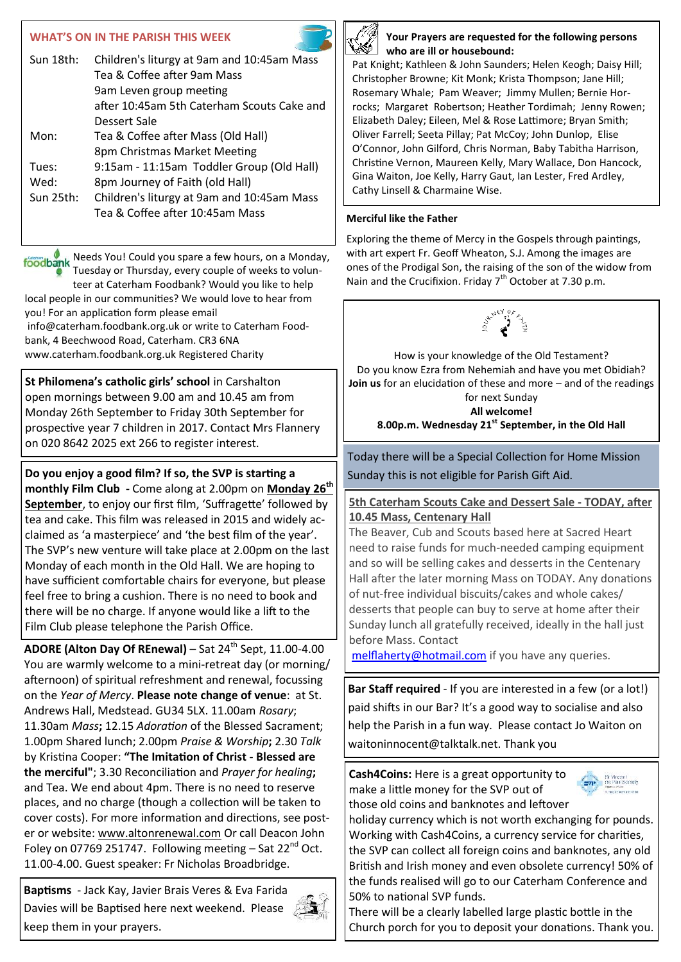## **WHAT'S ON IN THE PARISH THIS WEEK**

| Sun 18th: | Children's liturgy at 9am and 10:45am Mass |
|-----------|--------------------------------------------|
|           | Tea & Coffee after 9am Mass                |
|           | 9am Leven group meeting                    |
|           | after 10:45am 5th Caterham Scouts Cake and |
|           | Dessert Sale                               |
| Mon:      | Tea & Coffee after Mass (Old Hall)         |
|           | 8pm Christmas Market Meeting               |
| Tues:     | 9:15am - 11:15am Toddler Group (Old Hall)  |
| Wed:      | 8pm Journey of Faith (old Hall)            |
| Sun 25th: | Children's liturgy at 9am and 10:45am Mass |
|           | Tea & Coffee after 10:45am Mass            |
|           |                                            |

foodbank Needs You! Could you spare a few hours, on a Monday, Tuesday or Thursday, every couple of weeks to volunteer at Caterham Foodbank? Would you like to help local people in our communities? We would love to hear from you! For an application form please email info@caterham.foodbank.org.uk or write to Caterham Foodbank, 4 Beechwood Road, Caterham. CR3 6NA www.caterham.foodbank.org.uk Registered Charity

**St Philomena's catholic girls' school** in Carshalton open mornings between 9.00 am and 10.45 am from Monday 26th September to Friday 30th September for prospective year 7 children in 2017. Contact Mrs Flannery on 020 8642 2025 ext 266 to register interest.

**Do you enjoy a good film? If so, the SVP is starting a monthly Film Club -** Come along at 2.00pm on **Monday 26th September**, to enjoy our first film, 'Suffragette' followed by tea and cake. This film was released in 2015 and widely acclaimed as 'a masterpiece' and 'the best film of the year'. The SVP's new venture will take place at 2.00pm on the last Monday of each month in the Old Hall. We are hoping to have sufficient comfortable chairs for everyone, but please feel free to bring a cushion. There is no need to book and there will be no charge. If anyone would like a lift to the Film Club please telephone the Parish Office.

**ADORE (Alton Day Of REnewal)** – Sat 24<sup>th</sup> Sept, 11.00-4.00 You are warmly welcome to a mini-retreat day (or morning/ afternoon) of spiritual refreshment and renewal, focussing on the *Year of Mercy*. **Please note change of venue**: at St. Andrews Hall, Medstead. GU34 5LX. 11.00am *Rosary*; 11.30am *Mass***;** 12.15 *Adoration* of the Blessed Sacrament; 1.00pm Shared lunch; 2.00pm *Praise & Worship***;** 2.30 *Talk* by Kristina Cooper: **"The Imitation of Christ - Blessed are the merciful"**; 3.30 Reconciliation and *Prayer for healing***;**  and Tea. We end about 4pm. There is no need to reserve places, and no charge (though a collection will be taken to cover costs). For more information and directions, see poster or website: [www.altonrenewal.com](http://www.altonrenewal.com/) Or call Deacon John Foley on 07769 251747. Following meeting  $-$  Sat 22<sup>nd</sup> Oct. 11.00-4.00. Guest speaker: Fr Nicholas Broadbridge.

**Baptisms** - Jack Kay, Javier Brais Veres & Eva Farida Davies will be Baptised here next weekend. Please keep them in your prayers.





#### **Your Prayers are requested for the following persons who are ill or housebound:**

Pat Knight; Kathleen & John Saunders; Helen Keogh; Daisy Hill; Christopher Browne; Kit Monk; Krista Thompson; Jane Hill; Rosemary Whale; Pam Weaver; Jimmy Mullen; Bernie Horrocks; Margaret Robertson; Heather Tordimah; Jenny Rowen; Elizabeth Daley; Eileen, Mel & Rose Lattimore; Bryan Smith; Oliver Farrell; Seeta Pillay; Pat McCoy; John Dunlop, Elise O'Connor, John Gilford, Chris Norman, Baby Tabitha Harrison, Christine Vernon, Maureen Kelly, Mary Wallace, Don Hancock, Gina Waiton, Joe Kelly, Harry Gaut, Ian Lester, Fred Ardley, Cathy Linsell & Charmaine Wise.

### **Merciful like the Father**

Exploring the theme of Mercy in the Gospels through paintings, with art expert Fr. Geoff Wheaton, S.J. Among the images are ones of the Prodigal Son, the raising of the son of the widow from Nain and the Crucifixion. Friday  $7<sup>th</sup>$  October at 7.30 p.m.



How is your knowledge of the Old Testament? Do you know Ezra from Nehemiah and have you met Obidiah? **Join us** for an elucidation of these and more – and of the readings for next Sunday **All welcome!** 

**8.00p.m. Wednesday 21st September, in the Old Hall**

Today there will be a Special Collection for Home Mission Sunday this is not eligible for Parish Gift Aid.

## **5th Caterham Scouts Cake and Dessert Sale - TODAY, after 10.45 Mass, Centenary Hall**

The Beaver, Cub and Scouts based here at Sacred Heart need to raise funds for much-needed camping equipment and so will be selling cakes and desserts in the Centenary Hall after the later morning Mass on TODAY. Any donations of nut-free individual biscuits/cakes and whole cakes/ desserts that people can buy to serve at home after their Sunday lunch all gratefully received, ideally in the hall just before Mass. Contact

[melflaherty@hotmail.com](mailto:melflaherty@hotmail.com) if you have any queries.

**Bar Staff required** - If you are interested in a few (or a lot!) paid shifts in our Bar? It's a good way to socialise and also help the Parish in a fun way. Please contact Jo Waiton on waitoninnocent@talktalk.net. Thank you

**Cash4Coins:** Here is a great opportunity to make a little money for the SVP out of those old coins and banknotes and leftover



holiday currency which is not worth exchanging for pounds. Working with Cash4Coins, a currency service for charities, the SVP can collect all foreign coins and banknotes, any old British and Irish money and even obsolete currency! 50% of the funds realised will go to our Caterham Conference and 50% to national SVP funds.

There will be a clearly labelled large plastic bottle in the Church porch for you to deposit your donations. Thank you.